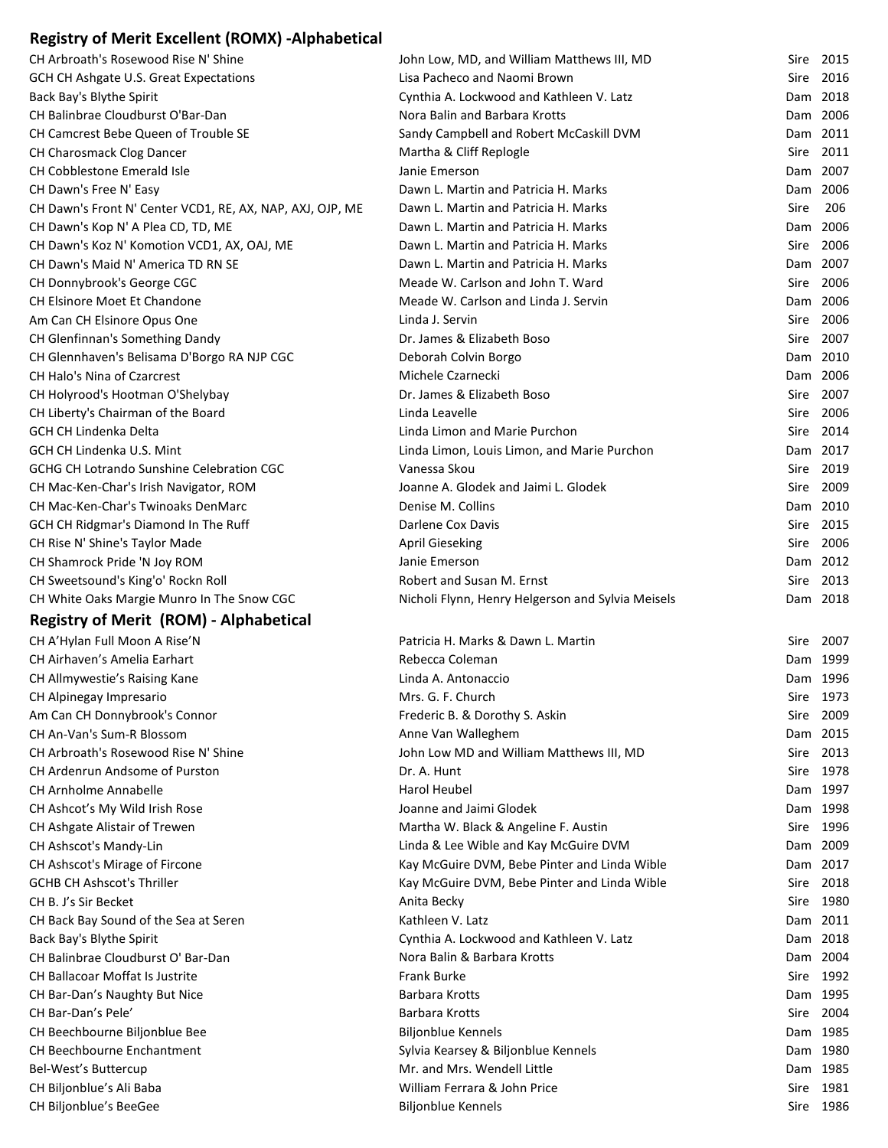## **Registry of Merit Excellent (ROMX) ‐Alphabetical**

| CH Arbroath's Rosewood Rise N' Shine                      | John Low, MD, and William Matthews III, MD                                    | Sire 2015   |      |
|-----------------------------------------------------------|-------------------------------------------------------------------------------|-------------|------|
| GCH CH Ashgate U.S. Great Expectations                    | Lisa Pacheco and Naomi Brown                                                  | Sire 2016   |      |
| Back Bay's Blythe Spirit                                  | Cynthia A. Lockwood and Kathleen V. Latz                                      | Dam 2018    |      |
| CH Balinbrae Cloudburst O'Bar-Dan                         | Nora Balin and Barbara Krotts                                                 | Dam 2006    |      |
| CH Camcrest Bebe Queen of Trouble SE                      | Sandy Campbell and Robert McCaskill DVM                                       | Dam 2011    |      |
| CH Charosmack Clog Dancer                                 | Martha & Cliff Replogle                                                       | Sire 2011   |      |
| CH Cobblestone Emerald Isle                               | Janie Emerson                                                                 | Dam 2007    |      |
| CH Dawn's Free N' Easy                                    | Dawn L. Martin and Patricia H. Marks                                          | Dam 2006    |      |
| CH Dawn's Front N' Center VCD1, RE, AX, NAP, AXJ, OJP, ME | Dawn L. Martin and Patricia H. Marks                                          | <b>Sire</b> | 206  |
| CH Dawn's Kop N' A Plea CD, TD, ME                        | Dawn L. Martin and Patricia H. Marks                                          | Dam 2006    |      |
| CH Dawn's Koz N' Komotion VCD1, AX, OAJ, ME               | Dawn L. Martin and Patricia H. Marks                                          | Sire 2006   |      |
| CH Dawn's Maid N' America TD RN SE                        | Dawn L. Martin and Patricia H. Marks                                          | Dam 2007    |      |
| CH Donnybrook's George CGC                                | Meade W. Carlson and John T. Ward                                             | Sire 2006   |      |
| CH Elsinore Moet Et Chandone                              | Meade W. Carlson and Linda J. Servin                                          | Dam 2006    |      |
| Am Can CH Elsinore Opus One                               | Linda J. Servin                                                               | Sire 2006   |      |
| CH Glenfinnan's Something Dandy                           | Dr. James & Elizabeth Boso                                                    | Sire 2007   |      |
| CH Glennhaven's Belisama D'Borgo RA NJP CGC               | Deborah Colvin Borgo                                                          | Dam 2010    |      |
| CH Halo's Nina of Czarcrest                               | Michele Czarnecki                                                             | Dam 2006    |      |
| CH Holyrood's Hootman O'Shelybay                          | Dr. James & Elizabeth Boso                                                    | Sire 2007   |      |
| CH Liberty's Chairman of the Board                        | Linda Leavelle                                                                | Sire 2006   |      |
| <b>GCH CH Lindenka Delta</b>                              | Linda Limon and Marie Purchon                                                 | Sire 2014   |      |
| GCH CH Lindenka U.S. Mint                                 | Linda Limon, Louis Limon, and Marie Purchon                                   | Dam 2017    |      |
| GCHG CH Lotrando Sunshine Celebration CGC                 | Vanessa Skou                                                                  | Sire 2019   |      |
| CH Mac-Ken-Char's Irish Navigator, ROM                    | Joanne A. Glodek and Jaimi L. Glodek                                          | Sire 2009   |      |
| CH Mac-Ken-Char's Twinoaks DenMarc                        | Denise M. Collins                                                             | Dam 2010    |      |
| GCH CH Ridgmar's Diamond In The Ruff                      | <b>Darlene Cox Davis</b>                                                      | Sire 2015   |      |
| CH Rise N' Shine's Taylor Made                            | <b>April Gieseking</b>                                                        | Sire 2006   |      |
| CH Shamrock Pride 'N Joy ROM                              | Janie Emerson                                                                 | Dam 2012    |      |
| CH Sweetsound's King'o' Rockn Roll                        | Robert and Susan M. Ernst                                                     | Sire        | 2013 |
| CH White Oaks Margie Munro In The Snow CGC                | Nicholi Flynn, Henry Helgerson and Sylvia Meisels                             | Dam 2018    |      |
| <b>Registry of Merit (ROM) - Alphabetical</b>             |                                                                               |             |      |
| CH A'Hylan Full Moon A Rise'N                             | Patricia H. Marks & Dawn L. Martin                                            | Sire 2007   |      |
| CH Airhaven's Amelia Earhart                              | Rebecca Coleman                                                               | Dam 1999    |      |
| CH Allmywestie's Raising Kane                             | Linda A. Antonaccio                                                           | Dam 1996    |      |
|                                                           | Mrs. G. F. Church                                                             | Sire 1973   |      |
| CH Alpinegay Impresario<br>Am Can CH Donnybrook's Connor  | Frederic B. & Dorothy S. Askin                                                | Sire 2009   |      |
| CH An-Van's Sum-R Blossom                                 |                                                                               | Dam 2015    |      |
| CH Arbroath's Rosewood Rise N' Shine                      | Anne Van Walleghem                                                            | Sire 2013   |      |
| CH Ardenrun Andsome of Purston                            | John Low MD and William Matthews III, MD<br>Dr. A. Hunt                       | Sire 1978   |      |
| <b>CH Arnholme Annabelle</b>                              | <b>Harol Heubel</b>                                                           | Dam 1997    |      |
|                                                           | Joanne and Jaimi Glodek                                                       | Dam 1998    |      |
| CH Ashcot's My Wild Irish Rose                            |                                                                               | Sire 1996   |      |
| CH Ashgate Alistair of Trewen<br>CH Ashscot's Mandy-Lin   | Martha W. Black & Angeline F. Austin<br>Linda & Lee Wible and Kay McGuire DVM | Dam 2009    |      |
| CH Ashscot's Mirage of Fircone                            |                                                                               | Dam 2017    |      |
|                                                           | Kay McGuire DVM, Bebe Pinter and Linda Wible                                  |             |      |
| <b>GCHB CH Ashscot's Thriller</b>                         | Kay McGuire DVM, Bebe Pinter and Linda Wible                                  | Sire 2018   |      |
| CH B. J's Sir Becket                                      | Anita Becky                                                                   | Sire 1980   |      |
| CH Back Bay Sound of the Sea at Seren                     | Kathleen V. Latz                                                              | Dam 2011    |      |
| Back Bay's Blythe Spirit                                  | Cynthia A. Lockwood and Kathleen V. Latz                                      | Dam 2018    |      |
| CH Balinbrae Cloudburst O' Bar-Dan                        | Nora Balin & Barbara Krotts                                                   | Dam 2004    |      |
| CH Ballacoar Moffat Is Justrite                           | <b>Frank Burke</b>                                                            | Sire 1992   |      |
| CH Bar-Dan's Naughty But Nice                             | Barbara Krotts                                                                | Dam 1995    |      |
| CH Bar-Dan's Pele'                                        | Barbara Krotts                                                                | Sire 2004   |      |
| CH Beechbourne Biljonblue Bee                             | <b>Biljonblue Kennels</b>                                                     | Dam 1985    |      |
| CH Beechbourne Enchantment                                | Sylvia Kearsey & Biljonblue Kennels                                           | Dam 1980    |      |
| Bel-West's Buttercup                                      | Mr. and Mrs. Wendell Little                                                   | Dam 1985    |      |
| CH Biljonblue's Ali Baba                                  | William Ferrara & John Price                                                  | Sire 1981   |      |
| CH Biljonblue's BeeGee                                    | <b>Biljonblue Kennels</b>                                                     | Sire 1986   |      |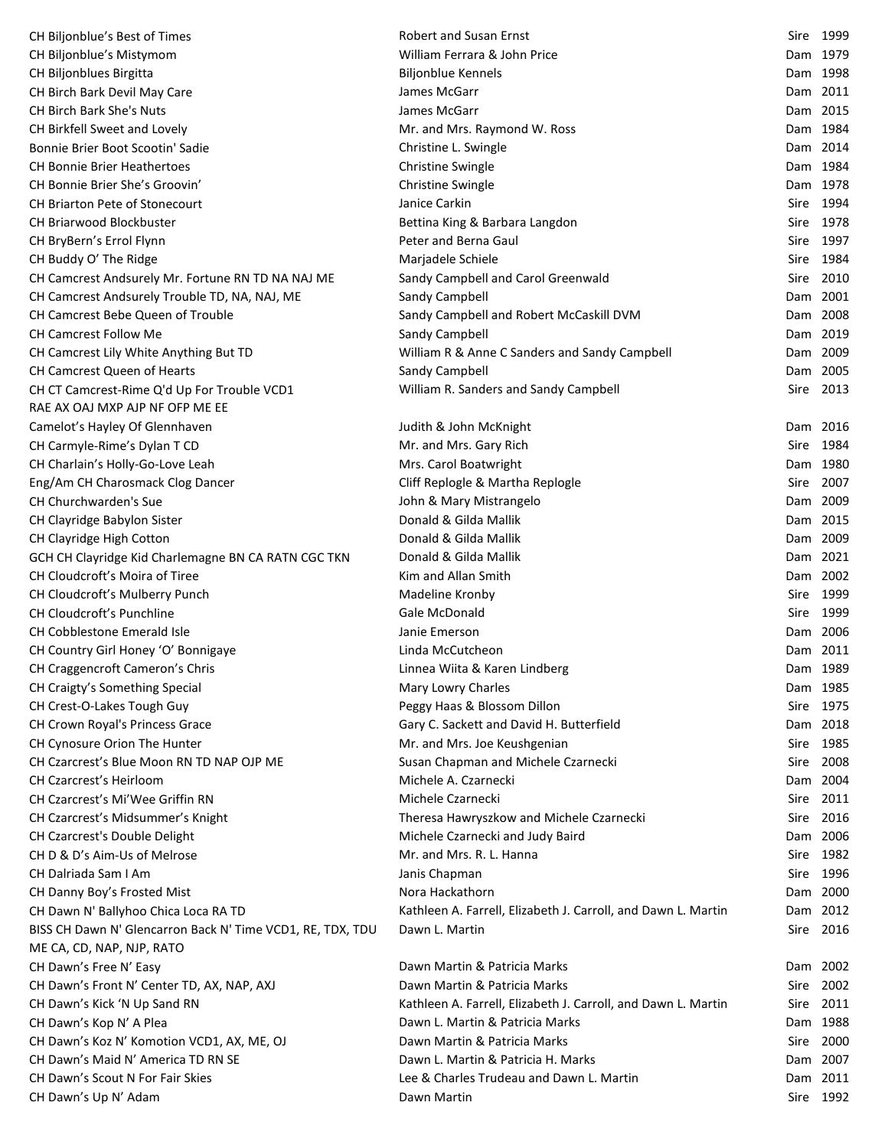| CH Biljonblue's Best of Times                                                           | <b>Robert and Susan Ernst</b>                                 |          | Sire 1999 |
|-----------------------------------------------------------------------------------------|---------------------------------------------------------------|----------|-----------|
| CH Biljonblue's Mistymom                                                                | William Ferrara & John Price                                  |          | Dam 1979  |
| CH Biljonblues Birgitta                                                                 | <b>Biljonblue Kennels</b>                                     |          | Dam 1998  |
| CH Birch Bark Devil May Care                                                            | James McGarr                                                  | Dam 2011 |           |
| <b>CH Birch Bark She's Nuts</b>                                                         | James McGarr                                                  | Dam 2015 |           |
| CH Birkfell Sweet and Lovely                                                            | Mr. and Mrs. Raymond W. Ross                                  | Dam 1984 |           |
| Bonnie Brier Boot Scootin' Sadie                                                        | Christine L. Swingle                                          |          | Dam 2014  |
| <b>CH Bonnie Brier Heathertoes</b>                                                      | <b>Christine Swingle</b>                                      | Dam 1984 |           |
| CH Bonnie Brier She's Groovin'                                                          | Christine Swingle                                             |          | Dam 1978  |
| CH Briarton Pete of Stonecourt                                                          | Janice Carkin                                                 |          | Sire 1994 |
| CH Briarwood Blockbuster                                                                | Bettina King & Barbara Langdon                                |          | Sire 1978 |
| CH BryBern's Errol Flynn                                                                | Peter and Berna Gaul                                          |          | Sire 1997 |
| CH Buddy O' The Ridge                                                                   | Marjadele Schiele                                             |          | Sire 1984 |
| CH Camcrest Andsurely Mr. Fortune RN TD NA NAJ ME                                       | Sandy Campbell and Carol Greenwald                            |          | Sire 2010 |
| CH Camcrest Andsurely Trouble TD, NA, NAJ, ME                                           | Sandy Campbell                                                | Dam 2001 |           |
| CH Camcrest Bebe Queen of Trouble                                                       | Sandy Campbell and Robert McCaskill DVM                       |          | Dam 2008  |
| CH Camcrest Follow Me                                                                   | Sandy Campbell                                                |          | Dam 2019  |
| CH Camcrest Lily White Anything But TD                                                  | William R & Anne C Sanders and Sandy Campbell                 | Dam 2009 |           |
| <b>CH Camcrest Queen of Hearts</b>                                                      | Sandy Campbell                                                | Dam 2005 |           |
| CH CT Camcrest-Rime Q'd Up For Trouble VCD1                                             | William R. Sanders and Sandy Campbell                         |          | Sire 2013 |
| RAE AX OAJ MXP AJP NF OFP ME EE                                                         |                                                               |          |           |
|                                                                                         |                                                               |          | Dam 2016  |
| Camelot's Hayley Of Glennhaven                                                          | Judith & John McKnight<br>Mr. and Mrs. Gary Rich              |          | Sire 1984 |
| CH Carmyle-Rime's Dylan T CD                                                            |                                                               |          |           |
| CH Charlain's Holly-Go-Love Leah                                                        | Mrs. Carol Boatwright                                         |          | Dam 1980  |
| Eng/Am CH Charosmack Clog Dancer                                                        | Cliff Replogle & Martha Replogle                              |          | Sire 2007 |
| CH Churchwarden's Sue                                                                   | John & Mary Mistrangelo                                       | Dam 2009 |           |
| CH Clayridge Babylon Sister                                                             | Donald & Gilda Mallik                                         |          | Dam 2015  |
| CH Clayridge High Cotton                                                                | Donald & Gilda Mallik                                         |          | Dam 2009  |
| GCH CH Clayridge Kid Charlemagne BN CA RATN CGC TKN                                     | Donald & Gilda Mallik                                         | Dam 2021 |           |
| CH Cloudcroft's Moira of Tiree                                                          | Kim and Allan Smith                                           |          | Dam 2002  |
| CH Cloudcroft's Mulberry Punch                                                          | Madeline Kronby                                               |          | Sire 1999 |
| <b>CH Cloudcroft's Punchline</b>                                                        | Gale McDonald                                                 |          | Sire 1999 |
| CH Cobblestone Emerald Isle                                                             | Janie Emerson                                                 | Dam 2006 |           |
| CH Country Girl Honey 'O' Bonnigaye                                                     | Linda McCutcheon                                              |          | Dam 2011  |
| CH Craggencroft Cameron's Chris                                                         | Linnea Wiita & Karen Lindberg                                 |          | Dam 1989  |
| CH Craigty's Something Special                                                          | Mary Lowry Charles                                            | Dam 1985 |           |
| CH Crest-O-Lakes Tough Guy                                                              | Peggy Haas & Blossom Dillon                                   |          | Sire 1975 |
| CH Crown Royal's Princess Grace                                                         | Gary C. Sackett and David H. Butterfield                      |          | Dam 2018  |
| CH Cynosure Orion The Hunter                                                            | Mr. and Mrs. Joe Keushgenian                                  |          | Sire 1985 |
| CH Czarcrest's Blue Moon RN TD NAP OJP ME                                               | Susan Chapman and Michele Czarnecki                           |          | Sire 2008 |
| <b>CH Czarcrest's Heirloom</b>                                                          | Michele A. Czarnecki                                          |          | Dam 2004  |
| CH Czarcrest's Mi'Wee Griffin RN                                                        | Michele Czarnecki                                             |          | Sire 2011 |
| CH Czarcrest's Midsummer's Knight                                                       | Theresa Hawryszkow and Michele Czarnecki                      |          | Sire 2016 |
| CH Czarcrest's Double Delight                                                           | Michele Czarnecki and Judy Baird                              |          | Dam 2006  |
| CH D & D's Aim-Us of Melrose                                                            | Mr. and Mrs. R. L. Hanna                                      |          | Sire 1982 |
| CH Dalriada Sam I Am                                                                    | Janis Chapman                                                 |          | Sire 1996 |
| CH Danny Boy's Frosted Mist                                                             | Nora Hackathorn                                               |          | Dam 2000  |
| CH Dawn N' Ballyhoo Chica Loca RA TD                                                    | Kathleen A. Farrell, Elizabeth J. Carroll, and Dawn L. Martin |          | Dam 2012  |
| BISS CH Dawn N' Glencarron Back N' Time VCD1, RE, TDX, TDU<br>ME CA, CD, NAP, NJP, RATO | Dawn L. Martin                                                |          | Sire 2016 |
| CH Dawn's Free N' Easy                                                                  | Dawn Martin & Patricia Marks                                  | Dam 2002 |           |
| CH Dawn's Front N' Center TD, AX, NAP, AXJ                                              | Dawn Martin & Patricia Marks                                  | Sire     | 2002      |
| CH Dawn's Kick 'N Up Sand RN                                                            | Kathleen A. Farrell, Elizabeth J. Carroll, and Dawn L. Martin |          | Sire 2011 |
| CH Dawn's Kop N' A Plea                                                                 | Dawn L. Martin & Patricia Marks                               |          | Dam 1988  |
| CH Dawn's Koz N' Komotion VCD1, AX, ME, OJ                                              | Dawn Martin & Patricia Marks                                  |          | Sire 2000 |
| CH Dawn's Maid N' America TD RN SE                                                      | Dawn L. Martin & Patricia H. Marks                            | Dam 2007 |           |
| CH Dawn's Scout N For Fair Skies                                                        | Lee & Charles Trudeau and Dawn L. Martin                      | Dam 2011 |           |
| CH Dawn's Up N' Adam                                                                    | Dawn Martin                                                   |          | Sire 1992 |
|                                                                                         |                                                               |          |           |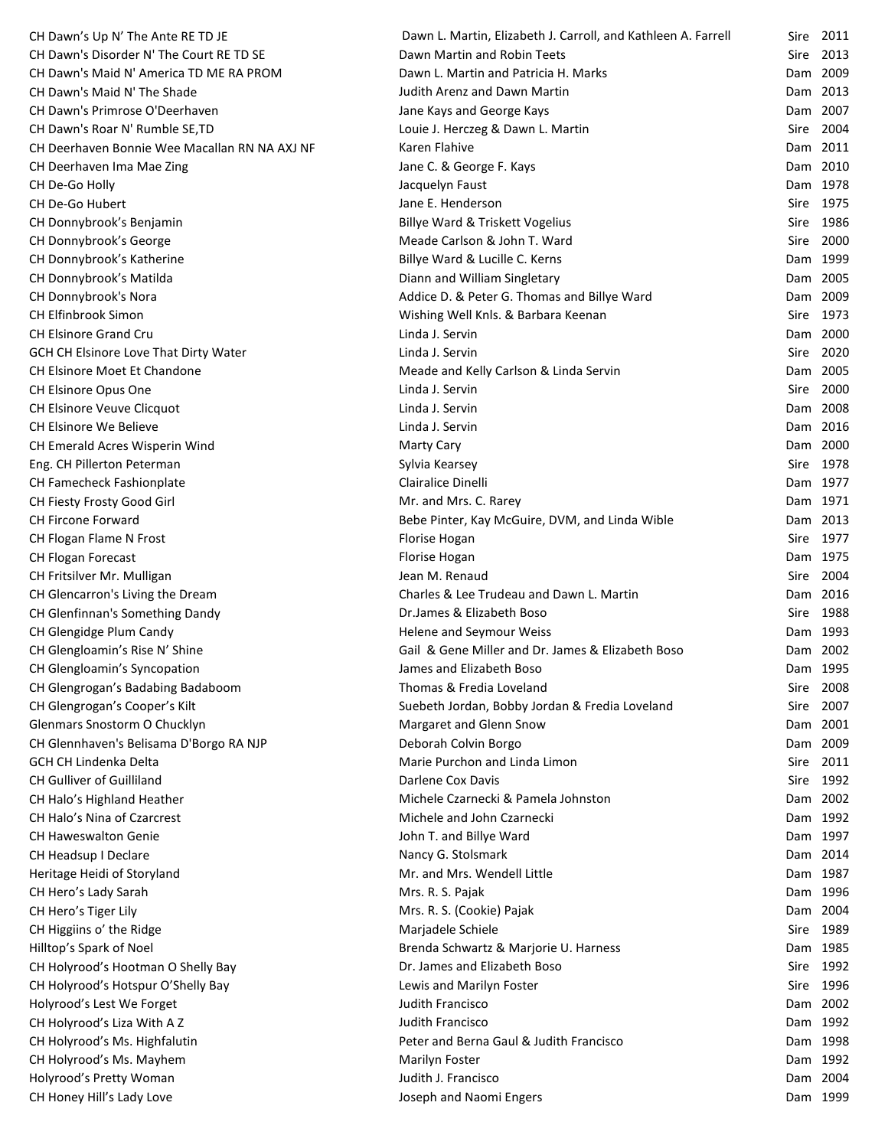| CH Dawn's Up N' The Ante RE TD JE             | Dawn L. Martin, Elizabeth J. Carroll, and Kathleen A. Farrell | Sire | 2011      |
|-----------------------------------------------|---------------------------------------------------------------|------|-----------|
| CH Dawn's Disorder N' The Court RE TD SE      | Dawn Martin and Robin Teets                                   | Sire | 2013      |
| CH Dawn's Maid N' America TD ME RA PROM       | Dawn L. Martin and Patricia H. Marks                          |      | Dam 2009  |
| CH Dawn's Maid N' The Shade                   | Judith Arenz and Dawn Martin                                  |      | Dam 2013  |
| CH Dawn's Primrose O'Deerhaven                | Jane Kays and George Kays                                     |      | Dam 2007  |
| CH Dawn's Roar N' Rumble SE, TD               | Louie J. Herczeg & Dawn L. Martin                             |      | Sire 2004 |
| CH Deerhaven Bonnie Wee Macallan RN NA AXJ NF | Karen Flahive                                                 |      | Dam 2011  |
| CH Deerhaven Ima Mae Zing                     | Jane C. & George F. Kays                                      |      | Dam 2010  |
| CH De-Go Holly                                | Jacquelyn Faust                                               |      | Dam 1978  |
| CH De-Go Hubert                               | Jane E. Henderson                                             |      | Sire 1975 |
| CH Donnybrook's Benjamin                      | Billye Ward & Triskett Vogelius                               |      | Sire 1986 |
| CH Donnybrook's George                        | Meade Carlson & John T. Ward                                  |      | Sire 2000 |
| CH Donnybrook's Katherine                     | Billye Ward & Lucille C. Kerns                                |      | Dam 1999  |
| CH Donnybrook's Matilda                       | Diann and William Singletary                                  |      | Dam 2005  |
| CH Donnybrook's Nora                          | Addice D. & Peter G. Thomas and Billye Ward                   |      | Dam 2009  |
| <b>CH Elfinbrook Simon</b>                    | Wishing Well Knls. & Barbara Keenan                           |      | Sire 1973 |
| <b>CH Elsinore Grand Cru</b>                  | Linda J. Servin                                               |      | Dam 2000  |
| GCH CH Elsinore Love That Dirty Water         | Linda J. Servin                                               |      | Sire 2020 |
| CH Elsinore Moet Et Chandone                  | Meade and Kelly Carlson & Linda Servin                        |      | Dam 2005  |
| CH Elsinore Opus One                          | Linda J. Servin                                               |      | Sire 2000 |
| CH Elsinore Veuve Clicquot                    | Linda J. Servin                                               |      | Dam 2008  |
| CH Elsinore We Believe                        | Linda J. Servin                                               |      | Dam 2016  |
| CH Emerald Acres Wisperin Wind                | <b>Marty Cary</b>                                             |      | Dam 2000  |
| Eng. CH Pillerton Peterman                    | Sylvia Kearsey                                                |      | Sire 1978 |
| CH Famecheck Fashionplate                     | Clairalice Dinelli                                            |      | Dam 1977  |
| CH Fiesty Frosty Good Girl                    | Mr. and Mrs. C. Rarey                                         |      | Dam 1971  |
| CH Fircone Forward                            | Bebe Pinter, Kay McGuire, DVM, and Linda Wible                |      | Dam 2013  |
| CH Flogan Flame N Frost                       | Florise Hogan                                                 | Sire | 1977      |
| CH Flogan Forecast                            | Florise Hogan                                                 |      | Dam 1975  |
| CH Fritsilver Mr. Mulligan                    | Jean M. Renaud                                                |      | Sire 2004 |
| CH Glencarron's Living the Dream              | Charles & Lee Trudeau and Dawn L. Martin                      |      | Dam 2016  |
| CH Glenfinnan's Something Dandy               | Dr.James & Elizabeth Boso                                     |      | Sire 1988 |
| CH Glengidge Plum Candy                       | Helene and Seymour Weiss                                      |      | Dam 1993  |
| CH Glengloamin's Rise N' Shine                | Gail & Gene Miller and Dr. James & Elizabeth Boso             |      | Dam 2002  |
| CH Glengloamin's Syncopation                  | James and Elizabeth Boso                                      |      | Dam 1995  |
| CH Glengrogan's Badabing Badaboom             | Thomas & Fredia Loveland                                      |      | Sire 2008 |
| CH Glengrogan's Cooper's Kilt                 | Suebeth Jordan, Bobby Jordan & Fredia Loveland                | Sire | 2007      |
| Glenmars Snostorm O Chucklyn                  | Margaret and Glenn Snow                                       |      | Dam 2001  |
| CH Glennhaven's Belisama D'Borgo RA NJP       | Deborah Colvin Borgo                                          |      | Dam 2009  |
| <b>GCH CH Lindenka Delta</b>                  | Marie Purchon and Linda Limon                                 |      | Sire 2011 |
| CH Gulliver of Guilliland                     | Darlene Cox Davis                                             |      | Sire 1992 |
| CH Halo's Highland Heather                    | Michele Czarnecki & Pamela Johnston                           |      | Dam 2002  |
| CH Halo's Nina of Czarcrest                   | Michele and John Czarnecki                                    |      | Dam 1992  |
| <b>CH Haweswalton Genie</b>                   | John T. and Billye Ward                                       |      | Dam 1997  |
| CH Headsup I Declare                          | Nancy G. Stolsmark                                            |      | Dam 2014  |
| Heritage Heidi of Storyland                   | Mr. and Mrs. Wendell Little                                   |      | Dam 1987  |
| CH Hero's Lady Sarah                          | Mrs. R. S. Pajak                                              |      | Dam 1996  |
| CH Hero's Tiger Lily                          | Mrs. R. S. (Cookie) Pajak                                     |      | Dam 2004  |
| CH Higgiins o' the Ridge                      | Marjadele Schiele                                             | Sire | 1989      |
| Hilltop's Spark of Noel                       | Brenda Schwartz & Marjorie U. Harness                         |      | Dam 1985  |
| CH Holyrood's Hootman O Shelly Bay            | Dr. James and Elizabeth Boso                                  |      | Sire 1992 |
| CH Holyrood's Hotspur O'Shelly Bay            | Lewis and Marilyn Foster                                      |      | Sire 1996 |
| Holyrood's Lest We Forget                     | Judith Francisco                                              |      | Dam 2002  |
| CH Holyrood's Liza With A Z                   | Judith Francisco                                              |      | Dam 1992  |
| CH Holyrood's Ms. Highfalutin                 | Peter and Berna Gaul & Judith Francisco                       |      | Dam 1998  |
| CH Holyrood's Ms. Mayhem                      | Marilyn Foster                                                |      | Dam 1992  |
| Holyrood's Pretty Woman                       | Judith J. Francisco                                           |      | Dam 2004  |
| CH Honey Hill's Lady Love                     | Joseph and Naomi Engers                                       |      | Dam 1999  |
|                                               |                                                               |      |           |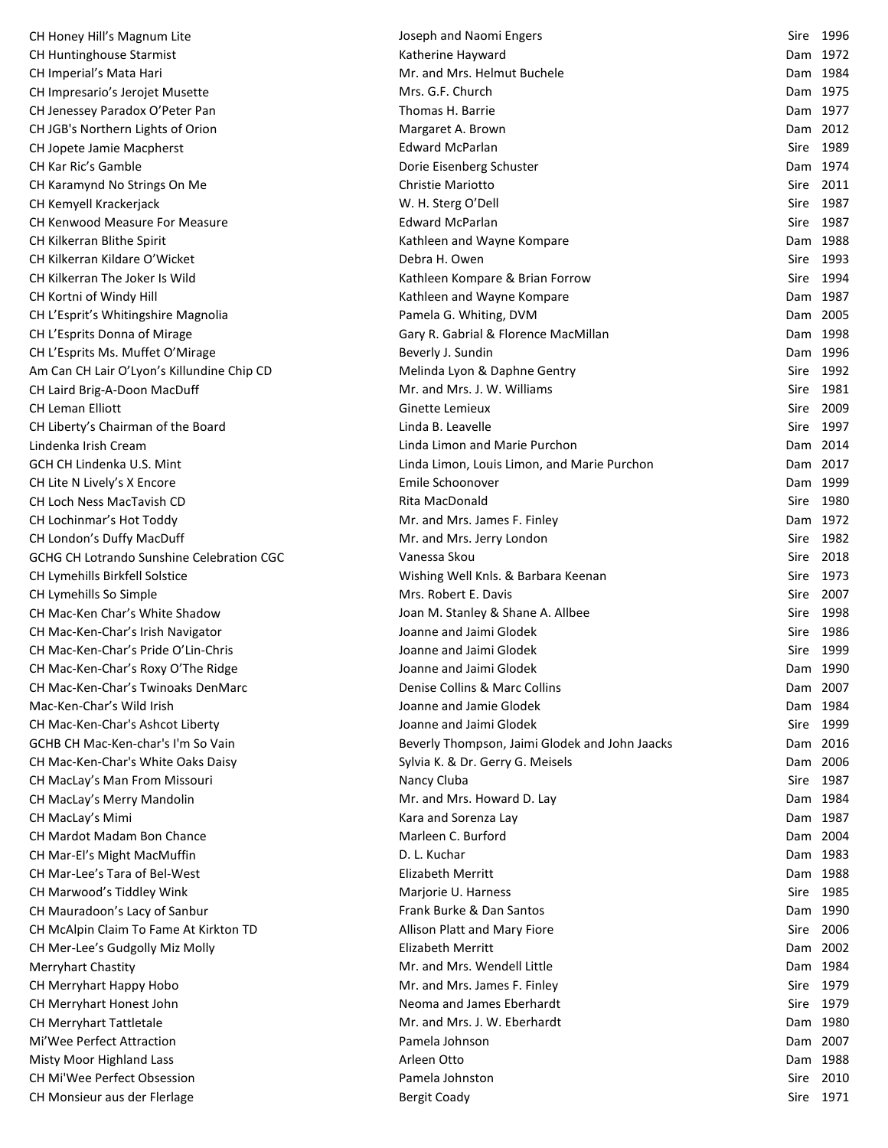| CH Honey Hill's Magnum Lite                | Joseph and Naomi Engers                        | Sire 1996 |
|--------------------------------------------|------------------------------------------------|-----------|
| <b>CH Huntinghouse Starmist</b>            | Katherine Hayward                              | Dam 1972  |
| CH Imperial's Mata Hari                    | Mr. and Mrs. Helmut Buchele                    | Dam 1984  |
| CH Impresario's Jerojet Musette            | Mrs. G.F. Church                               | Dam 1975  |
| CH Jenessey Paradox O'Peter Pan            | Thomas H. Barrie                               | Dam 1977  |
| CH JGB's Northern Lights of Orion          | Margaret A. Brown                              | Dam 2012  |
| CH Jopete Jamie Macpherst                  | <b>Edward McParlan</b>                         | Sire 1989 |
| CH Kar Ric's Gamble                        | Dorie Eisenberg Schuster                       | Dam 1974  |
| CH Karamynd No Strings On Me               | Christie Mariotto                              | Sire 2011 |
| CH Kemyell Krackerjack                     | W. H. Sterg O'Dell                             | Sire 1987 |
| CH Kenwood Measure For Measure             | Edward McParlan                                | Sire 1987 |
| CH Kilkerran Blithe Spirit                 | Kathleen and Wayne Kompare                     | Dam 1988  |
| CH Kilkerran Kildare O'Wicket              | Debra H. Owen                                  | Sire 1993 |
| CH Kilkerran The Joker Is Wild             | Kathleen Kompare & Brian Forrow                | Sire 1994 |
| CH Kortni of Windy Hill                    | Kathleen and Wayne Kompare                     | Dam 1987  |
| CH L'Esprit's Whitingshire Magnolia        | Pamela G. Whiting, DVM                         | Dam 2005  |
| CH L'Esprits Donna of Mirage               | Gary R. Gabrial & Florence MacMillan           | Dam 1998  |
| CH L'Esprits Ms. Muffet O'Mirage           | Beverly J. Sundin                              | Dam 1996  |
| Am Can CH Lair O'Lyon's Killundine Chip CD | Melinda Lyon & Daphne Gentry                   | Sire 1992 |
| CH Laird Brig-A-Doon MacDuff               | Mr. and Mrs. J. W. Williams                    | Sire 1981 |
| CH Leman Elliott                           | Ginette Lemieux                                | Sire 2009 |
| CH Liberty's Chairman of the Board         | Linda B. Leavelle                              | Sire 1997 |
| Lindenka Irish Cream                       | Linda Limon and Marie Purchon                  | Dam 2014  |
| GCH CH Lindenka U.S. Mint                  | Linda Limon, Louis Limon, and Marie Purchon    | Dam 2017  |
| CH Lite N Lively's X Encore                | Emile Schoonover                               | Dam 1999  |
| CH Loch Ness MacTavish CD                  | Rita MacDonald                                 | Sire 1980 |
| CH Lochinmar's Hot Toddy                   | Mr. and Mrs. James F. Finley                   | Dam 1972  |
| CH London's Duffy MacDuff                  | Mr. and Mrs. Jerry London                      | Sire 1982 |
| GCHG CH Lotrando Sunshine Celebration CGC  | Vanessa Skou                                   | Sire 2018 |
| CH Lymehills Birkfell Solstice             | Wishing Well Knls. & Barbara Keenan            | Sire 1973 |
| CH Lymehills So Simple                     | Mrs. Robert E. Davis                           | Sire 2007 |
| CH Mac-Ken Char's White Shadow             | Joan M. Stanley & Shane A. Allbee              | Sire 1998 |
| CH Mac-Ken-Char's Irish Navigator          | Joanne and Jaimi Glodek                        | Sire 1986 |
| CH Mac-Ken-Char's Pride O'Lin-Chris        | Joanne and Jaimi Glodek                        | Sire 1999 |
| CH Mac-Ken-Char's Roxy O'The Ridge         | Joanne and Jaimi Glodek                        | Dam 1990  |
| CH Mac-Ken-Char's Twinoaks DenMarc         | Denise Collins & Marc Collins                  | Dam 2007  |
| Mac-Ken-Char's Wild Irish                  | Joanne and Jamie Glodek                        | Dam 1984  |
| CH Mac-Ken-Char's Ashcot Liberty           | Joanne and Jaimi Glodek                        | Sire 1999 |
| GCHB CH Mac-Ken-char's I'm So Vain         | Beverly Thompson, Jaimi Glodek and John Jaacks | Dam 2016  |
| CH Mac-Ken-Char's White Oaks Daisy         | Sylvia K. & Dr. Gerry G. Meisels               | Dam 2006  |
| CH MacLay's Man From Missouri              | Nancy Cluba                                    | Sire 1987 |
| CH MacLay's Merry Mandolin                 | Mr. and Mrs. Howard D. Lay                     | Dam 1984  |
| CH MacLay's Mimi                           | Kara and Sorenza Lay                           | Dam 1987  |
| CH Mardot Madam Bon Chance                 | Marleen C. Burford                             | Dam 2004  |
| CH Mar-El's Might MacMuffin                | D. L. Kuchar                                   | Dam 1983  |
| CH Mar-Lee's Tara of Bel-West              | <b>Elizabeth Merritt</b>                       | Dam 1988  |
| CH Marwood's Tiddley Wink                  | Marjorie U. Harness                            | Sire 1985 |
| CH Mauradoon's Lacy of Sanbur              | Frank Burke & Dan Santos                       | Dam 1990  |
| CH McAlpin Claim To Fame At Kirkton TD     | Allison Platt and Mary Fiore                   | Sire 2006 |
| CH Mer-Lee's Gudgolly Miz Molly            | Elizabeth Merritt                              | Dam 2002  |
| <b>Merryhart Chastity</b>                  | Mr. and Mrs. Wendell Little                    | Dam 1984  |
| CH Merryhart Happy Hobo                    | Mr. and Mrs. James F. Finley                   | Sire 1979 |
| CH Merryhart Honest John                   | Neoma and James Eberhardt                      | Sire 1979 |
| <b>CH Merryhart Tattletale</b>             | Mr. and Mrs. J. W. Eberhardt                   | Dam 1980  |
| Mi'Wee Perfect Attraction                  | Pamela Johnson                                 | Dam 2007  |
| <b>Misty Moor Highland Lass</b>            | Arleen Otto                                    | Dam 1988  |
| <b>CH Mi'Wee Perfect Obsession</b>         | Pamela Johnston                                | Sire 2010 |
| CH Monsieur aus der Flerlage               | <b>Bergit Coady</b>                            | Sire 1971 |
|                                            |                                                |           |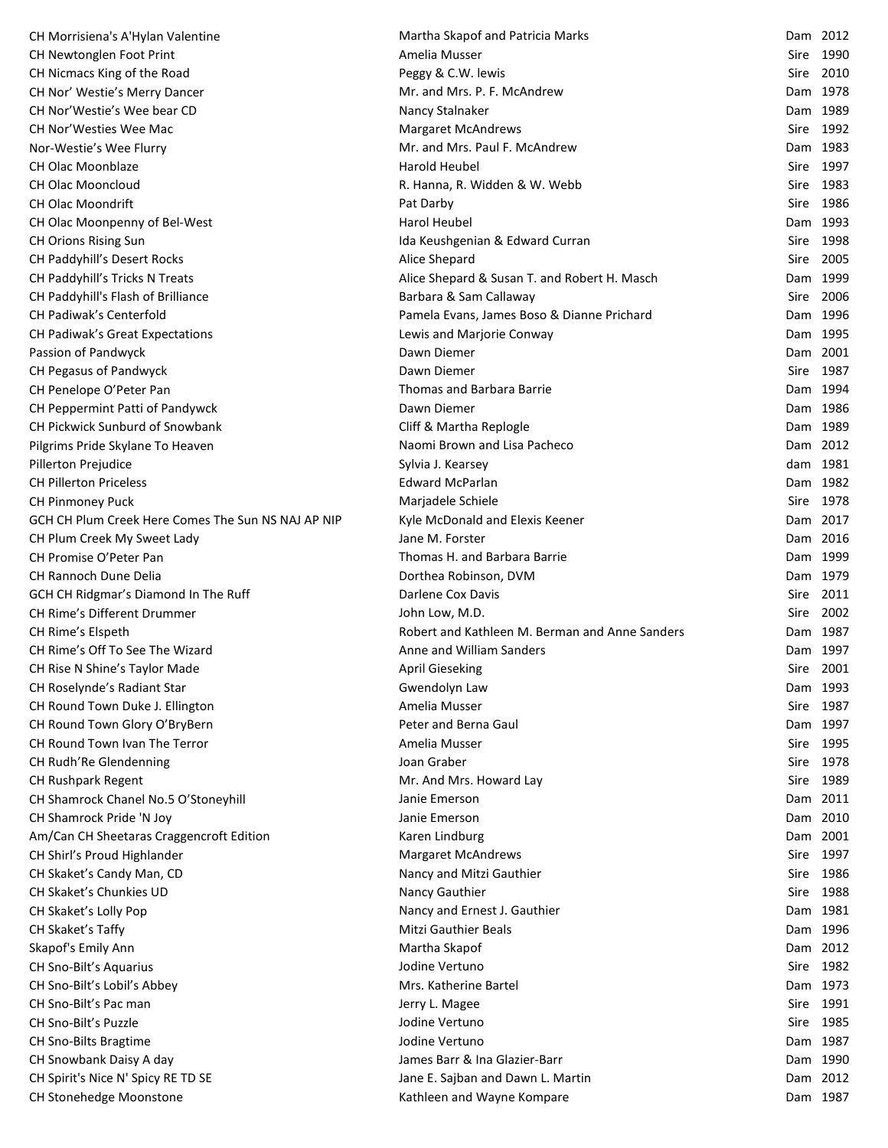| CH Morrisiena's A'Hylan Valentine                    | Martha Skapof and Patricia Marks               | Dam 2012  |  |
|------------------------------------------------------|------------------------------------------------|-----------|--|
| CH Newtonglen Foot Print                             | Amelia Musser                                  | Sire 1990 |  |
| CH Nicmacs King of the Road                          | Peggy & C.W. lewis                             | Sire 2010 |  |
| CH Nor' Westie's Merry Dancer                        | Mr. and Mrs. P. F. McAndrew                    | Dam 1978  |  |
| CH Nor'Westie's Wee bear CD                          | Nancy Stalnaker                                | Dam 1989  |  |
| CH Nor'Westies Wee Mac                               | <b>Margaret McAndrews</b>                      | Sire 1992 |  |
| Nor-Westie's Wee Flurry                              | Mr. and Mrs. Paul F. McAndrew                  | Dam 1983  |  |
| <b>CH Olac Moonblaze</b>                             | Harold Heubel                                  | Sire 1997 |  |
| <b>CH Olac Mooncloud</b>                             | R. Hanna, R. Widden & W. Webb                  | Sire 1983 |  |
| <b>CH Olac Moondrift</b>                             | Pat Darby                                      | Sire 1986 |  |
| CH Olac Moonpenny of Bel-West                        | Harol Heubel                                   | Dam 1993  |  |
| CH Orions Rising Sun                                 | Ida Keushgenian & Edward Curran                | Sire 1998 |  |
| CH Paddyhill's Desert Rocks                          | Alice Shepard                                  | Sire 2005 |  |
| CH Paddyhill's Tricks N Treats                       | Alice Shepard & Susan T. and Robert H. Masch   | Dam 1999  |  |
| CH Paddyhill's Flash of Brilliance                   | Barbara & Sam Callaway                         | Sire 2006 |  |
| CH Padiwak's Centerfold                              | Pamela Evans, James Boso & Dianne Prichard     | Dam 1996  |  |
| CH Padiwak's Great Expectations                      | Lewis and Marjorie Conway                      | Dam 1995  |  |
| Passion of Pandwyck                                  | Dawn Diemer                                    | Dam 2001  |  |
| CH Pegasus of Pandwyck                               | Dawn Diemer                                    | Sire 1987 |  |
| CH Penelope O'Peter Pan                              | Thomas and Barbara Barrie                      | Dam 1994  |  |
| CH Peppermint Patti of Pandywck                      | Dawn Diemer                                    | Dam 1986  |  |
| CH Pickwick Sunburd of Snowbank                      | Cliff & Martha Replogle                        | Dam 1989  |  |
|                                                      | Naomi Brown and Lisa Pacheco                   | Dam 2012  |  |
| Pilgrims Pride Skylane To Heaven                     |                                                | dam 1981  |  |
| Pillerton Prejudice<br><b>CH Pillerton Priceless</b> | Sylvia J. Kearsey<br><b>Edward McParlan</b>    | Dam 1982  |  |
|                                                      |                                                |           |  |
| CH Pinmoney Puck                                     | Marjadele Schiele                              | Sire 1978 |  |
| GCH CH Plum Creek Here Comes The Sun NS NAJ AP NIP   | Kyle McDonald and Elexis Keener                | Dam 2017  |  |
| CH Plum Creek My Sweet Lady                          | Jane M. Forster                                | Dam 2016  |  |
| CH Promise O'Peter Pan                               | Thomas H. and Barbara Barrie                   | Dam 1999  |  |
| CH Rannoch Dune Delia                                | Dorthea Robinson, DVM                          | Dam 1979  |  |
| GCH CH Ridgmar's Diamond In The Ruff                 | Darlene Cox Davis                              | Sire 2011 |  |
| <b>CH Rime's Different Drummer</b>                   | John Low, M.D.                                 | Sire 2002 |  |
| CH Rime's Elspeth                                    | Robert and Kathleen M. Berman and Anne Sanders | Dam 1987  |  |
| CH Rime's Off To See The Wizard                      | Anne and William Sanders                       | Dam 1997  |  |
| CH Rise N Shine's Taylor Made                        | <b>April Gieseking</b>                         | Sire 2001 |  |
| CH Roselynde's Radiant Star                          | Gwendolyn Law                                  | Dam 1993  |  |
| CH Round Town Duke J. Ellington                      | Amelia Musser                                  | Sire 1987 |  |
| CH Round Town Glory O'BryBern                        | Peter and Berna Gaul                           | Dam 1997  |  |
| CH Round Town Ivan The Terror                        | Amelia Musser                                  | Sire 1995 |  |
| CH Rudh'Re Glendenning                               | Joan Graber                                    | Sire 1978 |  |
| CH Rushpark Regent                                   | Mr. And Mrs. Howard Lay                        | Sire 1989 |  |
| CH Shamrock Chanel No.5 O'Stoneyhill                 | Janie Emerson                                  | Dam 2011  |  |
| CH Shamrock Pride 'N Joy                             | Janie Emerson                                  | Dam 2010  |  |
| Am/Can CH Sheetaras Craggencroft Edition             | Karen Lindburg                                 | Dam 2001  |  |
| CH Shirl's Proud Highlander                          | <b>Margaret McAndrews</b>                      | Sire 1997 |  |
| CH Skaket's Candy Man, CD                            | Nancy and Mitzi Gauthier                       | Sire 1986 |  |
| CH Skaket's Chunkies UD                              | Nancy Gauthier                                 | Sire 1988 |  |
| CH Skaket's Lolly Pop                                | Nancy and Ernest J. Gauthier                   | Dam 1981  |  |
| CH Skaket's Taffy                                    | <b>Mitzi Gauthier Beals</b>                    | Dam 1996  |  |
| Skapof's Emily Ann                                   | Martha Skapof                                  | Dam 2012  |  |
| CH Sno-Bilt's Aquarius                               | Jodine Vertuno                                 | Sire 1982 |  |
| CH Sno-Bilt's Lobil's Abbey                          | Mrs. Katherine Bartel                          | Dam 1973  |  |
| CH Sno-Bilt's Pac man                                | Jerry L. Magee                                 | Sire 1991 |  |
| CH Sno-Bilt's Puzzle                                 | Jodine Vertuno                                 | Sire 1985 |  |
| CH Sno-Bilts Bragtime                                | Jodine Vertuno                                 | Dam 1987  |  |
| CH Snowbank Daisy A day                              | James Barr & Ina Glazier-Barr                  | Dam 1990  |  |
| CH Spirit's Nice N' Spicy RE TD SE                   | Jane E. Sajban and Dawn L. Martin              | Dam 2012  |  |
| CH Stonehedge Moonstone                              | Kathleen and Wayne Kompare                     | Dam 1987  |  |
|                                                      |                                                |           |  |